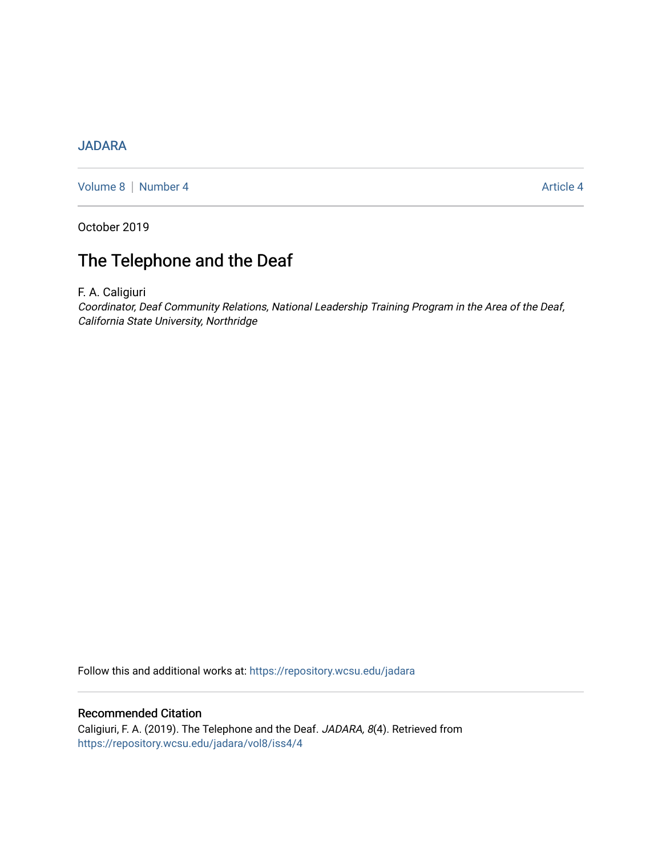## [JADARA](https://repository.wcsu.edu/jadara)

[Volume 8](https://repository.wcsu.edu/jadara/vol8) | [Number 4](https://repository.wcsu.edu/jadara/vol8/iss4) Article 4

October 2019

# The Telephone and the Deaf

F. A. Caligiuri

Coordinator, Deaf Community Relations, National Leadership Training Program in the Area of the Deaf, California State University, Northridge

Follow this and additional works at: [https://repository.wcsu.edu/jadara](https://repository.wcsu.edu/jadara?utm_source=repository.wcsu.edu%2Fjadara%2Fvol8%2Fiss4%2F4&utm_medium=PDF&utm_campaign=PDFCoverPages)

## Recommended Citation

Caligiuri, F. A. (2019). The Telephone and the Deaf. JADARA, 8(4). Retrieved from [https://repository.wcsu.edu/jadara/vol8/iss4/4](https://repository.wcsu.edu/jadara/vol8/iss4/4?utm_source=repository.wcsu.edu%2Fjadara%2Fvol8%2Fiss4%2F4&utm_medium=PDF&utm_campaign=PDFCoverPages)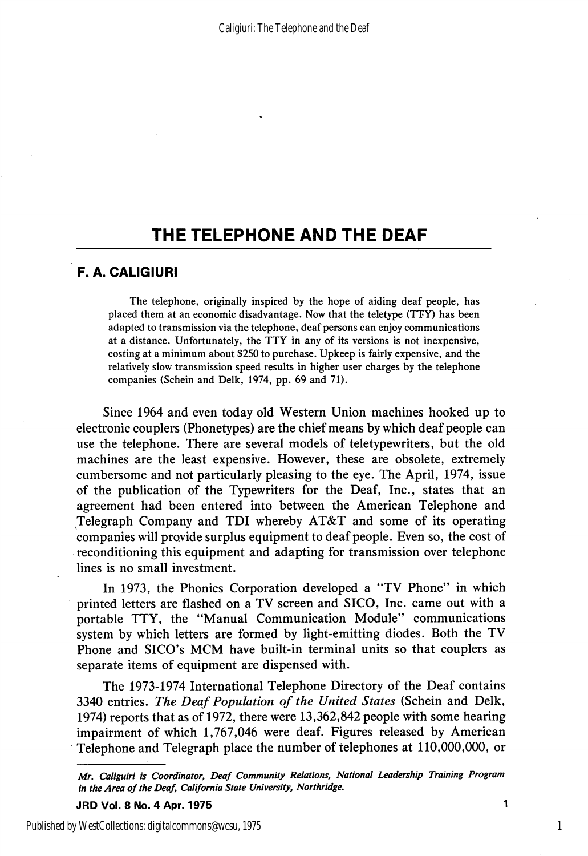## THE TELEPHONE AND THE DEAF

## F. A. CALIGIURI

The telephone, originally inspired by the hope of aiding deaf people, has placed them at an economic disadvantage. Now that the teletype (TTY) has been adapted to transmission via the telephone, deaf persons can enjoy communications at a distance. Unfortunately, the TTY in any of its versions is not inexpensive, costing at a minimum about \$250 to purchase. Upkeep is fairly expensive, and the relatively slow transmission speed results in higher user charges by the telephone companies (Schein and Delk, 1974, pp. 69 and 71).

Since 1964 and even today old Western Union machines hooked up to electronic couplers (Phonetypes) are the chief means by which deaf people can use the telephone. There are several models of teletypewriters, but the old machines are the least expensive. However, these are obsolete, extremely cumbersome and not particularly pleasing to the eye. The April, 1974, issue of the publication of the Typewriters for the Deaf, Inc., states that an agreement had been entered into between the American Telephone and Telegraph Company and TDI whereby AT&T and some of its operating companies will provide surplus equipment to deaf people. Even so, the cost of reconditioning this equipment and adapting for transmission over telephone lines is no small investment.

In 1973, the Phonics Corporation developed a "TV Phone" in which printed letters are flashed on a TV screen and SICO, Inc. came out with a portable TTY, the "Manual Communication Module" communications system by which letters are formed by light-emitting diodes. Both the TV Phone and SICO's MCM have built-in terminal units so that couplers as separate items of equipment are dispensed with.

The 1973-1974 International Telephone Directory of the Deaf contains 3340 entries. The Deaf Population of the United States (Schein and Delk, 1974) reports that as of 1972, there were 13,362,842 people with some hearing impairment of which 1,767,046 were deaf. Figures released by American Telephone and Telegraph place the number of telephones at 110,000,000, or

1

Mr. Caliguiri is Coordinator, Deaf Community Relations, National Leadership Training Program in the Area of the Deaf, California State University, Northridge.

JRD Vol. 8 No. 4 Apr. 1975 1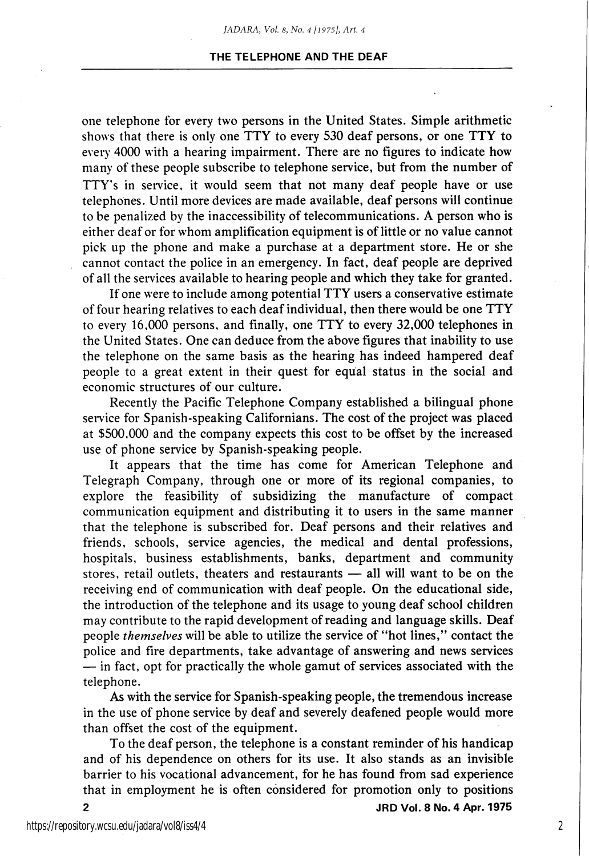#### THE TELEPHONE AND THE DEAF

one telephone for every two persons in the United States. Simple arithmetic shows that there is only one TTY to every 530 deaf persons, or one TTY to every 4000 with a hearing impairment. There are no figures to indicate how many of these people subscribe to telephone service, but from the number of TTY's in service, it would seem that not many deaf people have or use telephones. Until more devices are made available, deaf persons will continue to be penalized by the inaccessibility of telecommunications. A person who is either deaf or for whom amplification equipment is of little or no value cannot pick up the phone and make a purchase at a department store. He or she cannot contact the police in an emergency. In fact, deaf people are deprived of all the services available to hearing people and which they take for granted.

If one were to include among potential TTY users a conservative estimate of four hearing relatives to each deaf individual, then there would be one TTY to every 16,000 persons, and finally, one TTY to every 32,000 telephones in the United States. One can deduce from the above figures that inability to use the telephone on the same basis as the hearing has indeed hampered deaf people to a great extent in their quest for equal status in the social and economic structures of our culture.

Recently the Pacific Telephone Company established a bilingual phone service for Spanish-speaking Californians. The cost of the project was placed at \$500,000 and the company expects this cost to be offset by the increased use of phone service by Spanish-speaking people.

It appears that the time has come for American Telephone and Telegraph Company, through one or more of its regional companies, to explore the feasibility of subsidizing the manufacture of compact communication equipment and distributing it to users in the same manner that the telephone is subscribed for. Deaf persons and their relatives and friends, schools, service agencies, the medical and dental professions, hospitals, business establishments, banks, department and community stores, retail outlets, theaters and restaurants — all will want to be on the receiving end of communication with deaf people. On the educational side, the introduction of the telephone and its usage to young deaf school children may contribute to the rapid development of reading and language skills. Deaf people themselves will be able to utilize the service of "hot lines," contact the police and fire departments, take advantage of answering and news services — in fact, opt for practically the whole gamut of services associated with the telephone.

As with the service for Spanish-speaking people, the tremendous increase in the use of phone service by deaf and severely deafened people would more than offset the cost of the equipment.

To the deaf person, the telephone is a constant reminder of his handicap and of his dependence on others for its use. It also stands as an invisible barrier to his vocational advancement, for he has found from sad experience that in employment he is often considered for promotion only to positions 2 JRD Vol. 8 No. 4 Apr. 1975

2